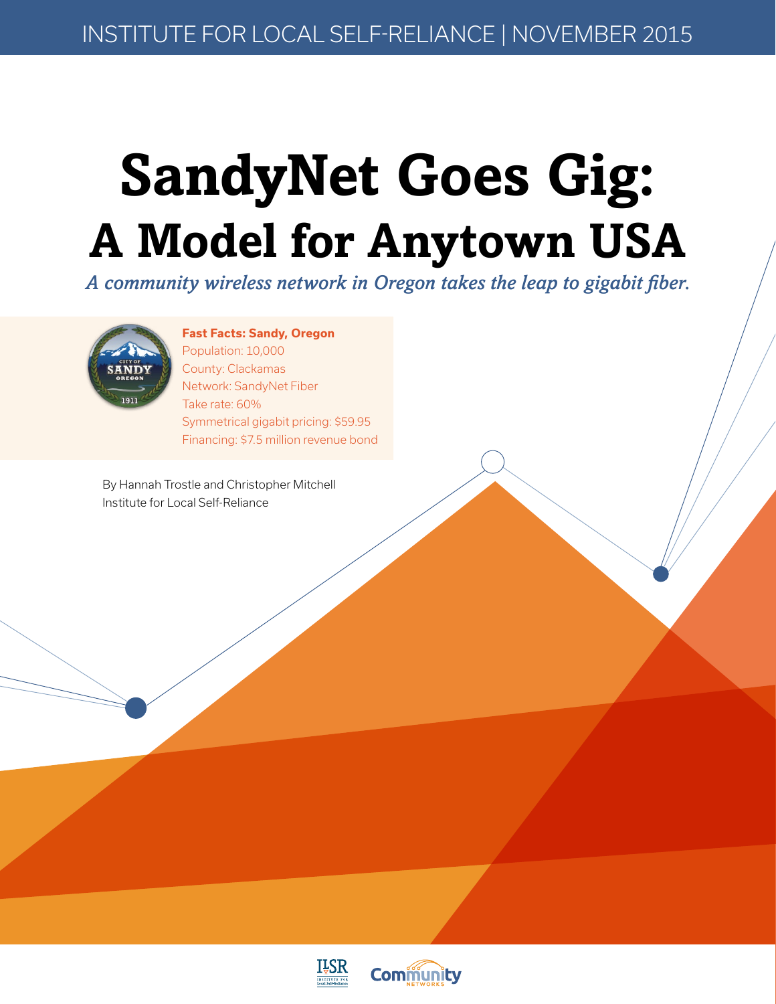## **SandyNet Goes Gig: A Model for Anytown USA**

*A community wireless network in Oregon takes the leap to gigabit fiber.*



#### **Fast Facts: Sandy, Oregon**

Population: 10,000 County: Clackamas Network: SandyNet Fiber Take rate: 60% Symmetrical gigabit pricing: \$59.95 Financing: \$7.5 million revenue bond

By Hannah Trostle and Christopher Mitchell Institute for Local Self-Reliance



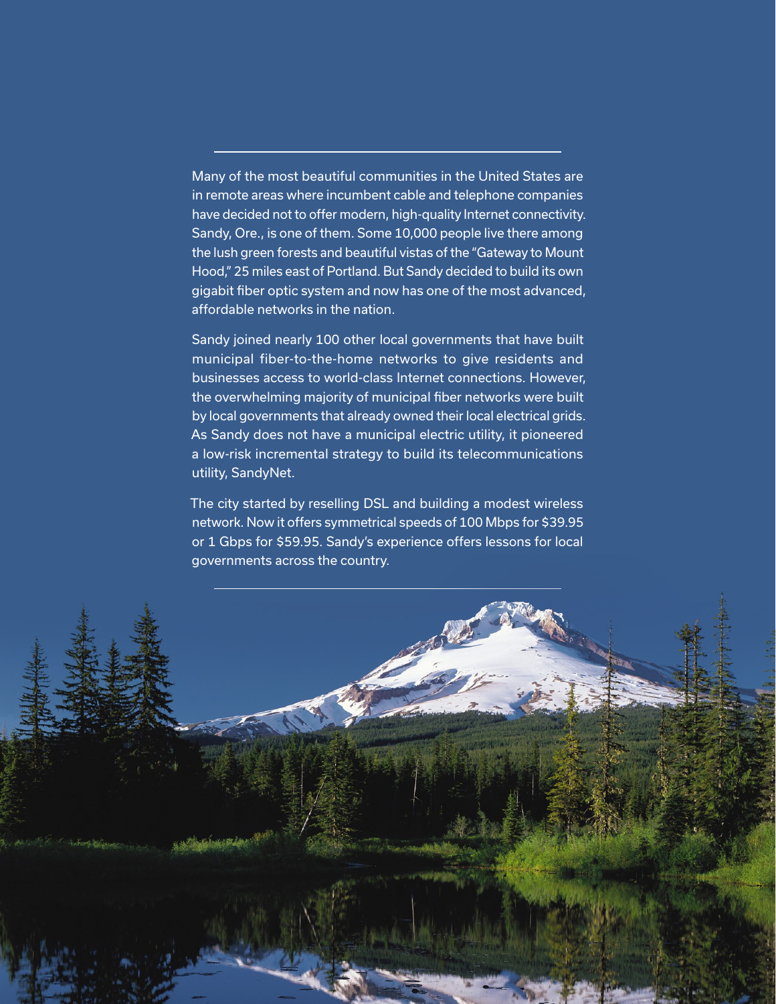Many of the most beautiful communities in the United States are in remote areas where incumbent cable and telephone companies have decided not to offer modern, high-quality Internet connectivity. Sandy, Ore., is one of them. Some 10,000 people live there among the lush green forests and beautiful vistas of the "Gateway to Mount Hood," 25 miles east of Portland. But Sandy decided to build its own gigabit fiber optic system and now has one of the most advanced, affordable networks in the nation.

Sandy joined nearly 100 other local governments that have built municipal fiber-to-the-home networks to give residents and businesses access to world-class Internet connections. However, the overwhelming majority of municipal fiber networks were built by local governments that already owned their local electrical grids. As Sandy does not have a municipal electric utility, it pioneered a low-risk incremental strategy to build its telecommunications utility, SandyNet.

The city started by reselling DSL and building a modest wireless network. Now it offers symmetrical speeds of 100 Mbps for \$39.95 or 1 Gbps for \$59.95. Sandy's experience offers lessons for local governments across the country.

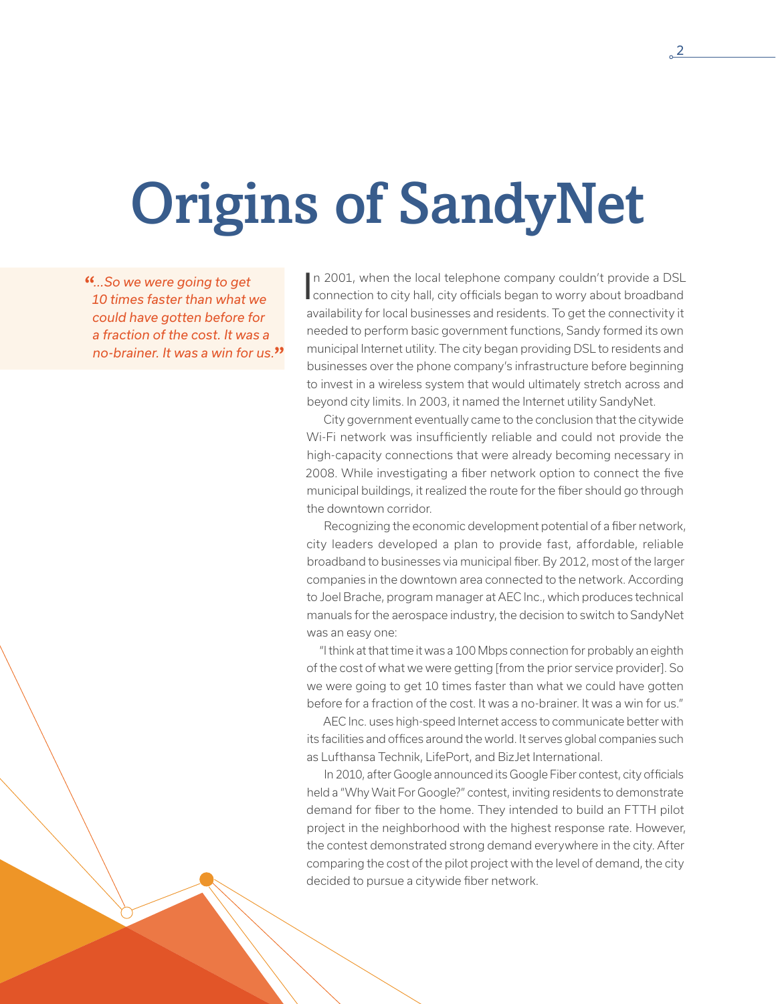# Origins of SandyNet

**"***...So we were going to get 10 times faster than what we could have gotten before for a fraction of the cost. It was a no-brainer. It was a win for us.***"** In 2001, when the local telephone company couldn't provide a DSL<br>connection to city hall, city officials began to worry about broadband n 2001, when the local telephone company couldn't provide a DSL availability for local businesses and residents. To get the connectivity it needed to perform basic government functions, Sandy formed its own municipal Internet utility. The city began providing DSL to residents and businesses over the phone company's infrastructure before beginning to invest in a wireless system that would ultimately stretch across and beyond city limits. In 2003, it named the Internet utility SandyNet.

City government eventually came to the conclusion that the citywide Wi-Fi network was insufficiently reliable and could not provide the high-capacity connections that were already becoming necessary in 2008. While investigating a fiber network option to connect the five municipal buildings, it realized the route for the fiber should go through the downtown corridor.

Recognizing the economic development potential of a fiber network, city leaders developed a plan to provide fast, affordable, reliable broadband to businesses via municipal fiber. By 2012, most of the larger companies in the downtown area connected to the network. According to Joel Brache, program manager at AEC Inc., which produces technical manuals for the aerospace industry, the decision to switch to SandyNet was an easy one:

"I think at that time it was a 100 Mbps connection for probably an eighth of the cost of what we were getting [from the prior service provider]. So we were going to get 10 times faster than what we could have gotten before for a fraction of the cost. It was a no-brainer. It was a win for us."

AEC Inc. uses high-speed Internet access to communicate better with its facilities and offices around the world. It serves global companies such as Lufthansa Technik, LifePort, and BizJet International.

In 2010, after Google announced its Google Fiber contest, city officials held a "Why Wait For Google?" contest, inviting residents to demonstrate demand for fiber to the home. They intended to build an FTTH pilot project in the neighborhood with the highest response rate. However, the contest demonstrated strong demand everywhere in the city. After comparing the cost of the pilot project with the level of demand, the city decided to pursue a citywide fiber network.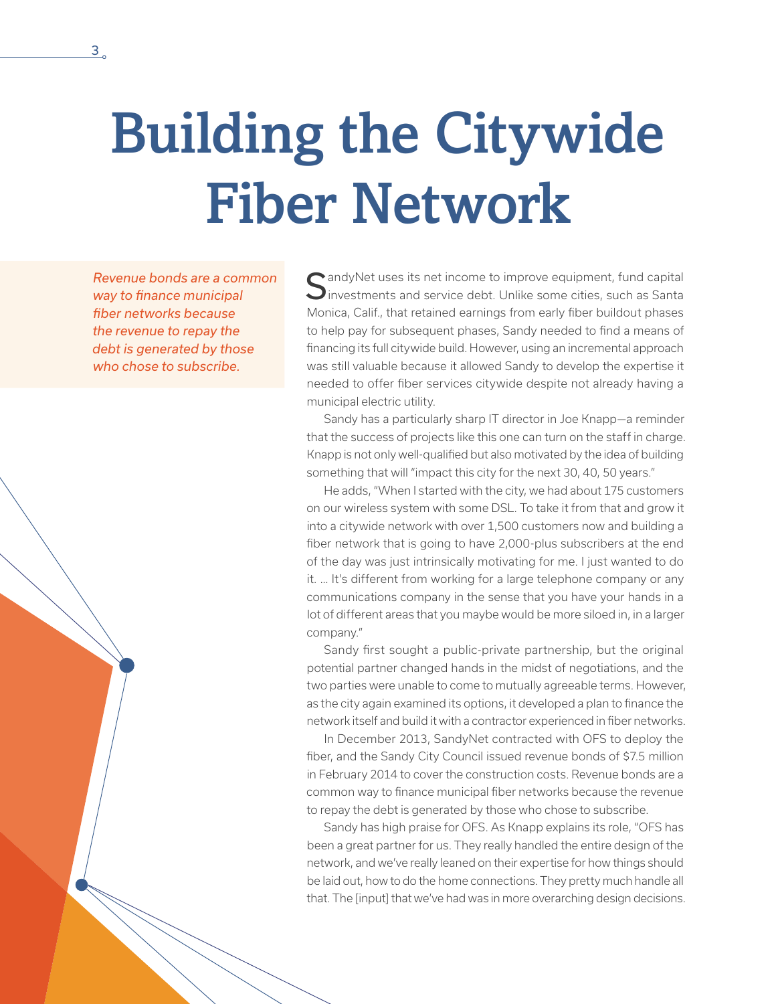## Building the Citywide Fiber Network

*Revenue bonds are a common way to finance municipal fiber networks because the revenue to repay the debt is generated by those who chose to subscribe.*

 $\bigcap$  andyNet uses its net income to improve equipment, fund capital Investments and service debt. Unlike some cities, such as Santa Monica, Calif., that retained earnings from early fiber buildout phases to help pay for subsequent phases, Sandy needed to find a means of financing its full citywide build. However, using an incremental approach was still valuable because it allowed Sandy to develop the expertise it needed to offer fiber services citywide despite not already having a municipal electric utility.

Sandy has a particularly sharp IT director in Joe Knapp—a reminder that the success of projects like this one can turn on the staff in charge. Knapp is not only well-qualified but also motivated by the idea of building something that will "impact this city for the next 30, 40, 50 years."

He adds, "When I started with the city, we had about 175 customers on our wireless system with some DSL. To take it from that and grow it into a citywide network with over 1,500 customers now and building a fiber network that is going to have 2,000-plus subscribers at the end of the day was just intrinsically motivating for me. I just wanted to do it. … It's different from working for a large telephone company or any communications company in the sense that you have your hands in a lot of different areas that you maybe would be more siloed in, in a larger company."

Sandy first sought a public-private partnership, but the original potential partner changed hands in the midst of negotiations, and the two parties were unable to come to mutually agreeable terms. However, as the city again examined its options, it developed a plan to finance the network itself and build it with a contractor experienced in fiber networks.

In December 2013, SandyNet contracted with OFS to deploy the fiber, and the Sandy City Council issued revenue bonds of \$7.5 million in February 2014 to cover the construction costs. Revenue bonds are a common way to finance municipal fiber networks because the revenue to repay the debt is generated by those who chose to subscribe.

Sandy has high praise for OFS. As Knapp explains its role, "OFS has been a great partner for us. They really handled the entire design of the network, and we've really leaned on their expertise for how things should be laid out, how to do the home connections. They pretty much handle all that. The [input] that we've had was in more overarching design decisions.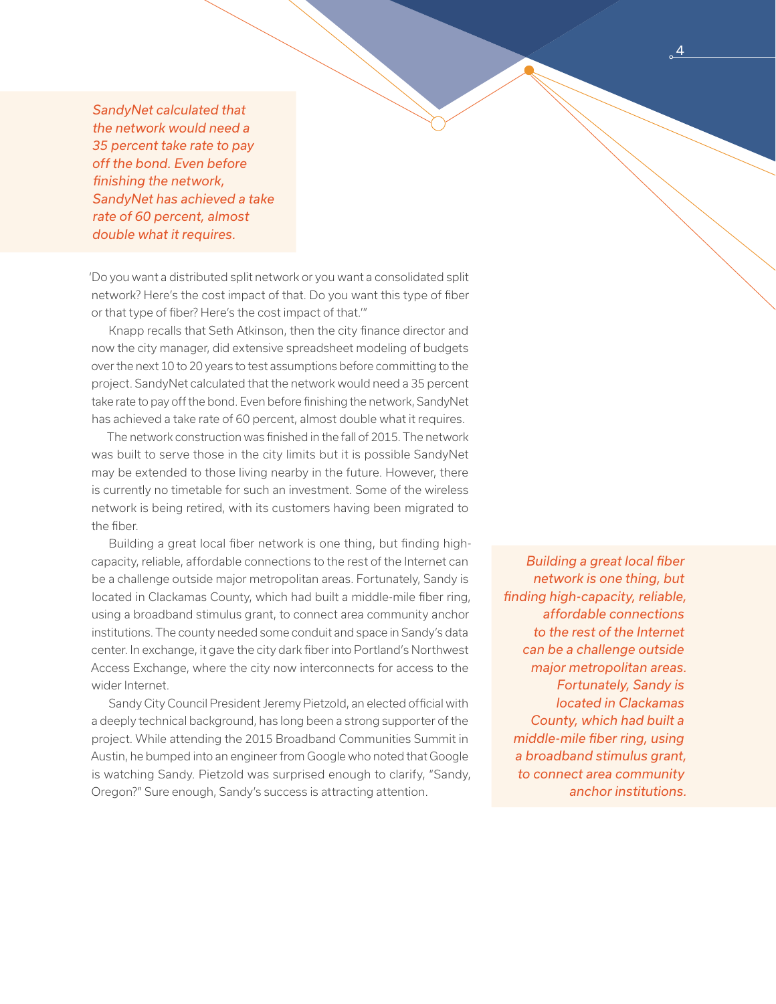*SandyNet calculated that the network would need a 35 percent take rate to pay off the bond. Even before finishing the network, SandyNet has achieved a take rate of 60 percent, almost double what it requires.*

'Do you want a distributed split network or you want a consolidated split network? Here's the cost impact of that. Do you want this type of fiber or that type of fiber? Here's the cost impact of that.'"

Knapp recalls that Seth Atkinson, then the city finance director and now the city manager, did extensive spreadsheet modeling of budgets over the next 10 to 20 years to test assumptions before committing to the project. SandyNet calculated that the network would need a 35 percent take rate to pay off the bond. Even before finishing the network, SandyNet has achieved a take rate of 60 percent, almost double what it requires.

The network construction was finished in the fall of 2015. The network was built to serve those in the city limits but it is possible SandyNet may be extended to those living nearby in the future. However, there is currently no timetable for such an investment. Some of the wireless network is being retired, with its customers having been migrated to the fiber.

Building a great local fiber network is one thing, but finding highcapacity, reliable, affordable connections to the rest of the Internet can be a challenge outside major metropolitan areas. Fortunately, Sandy is located in Clackamas County, which had built a middle-mile fiber ring, using a broadband stimulus grant, to connect area community anchor institutions. The county needed some conduit and space in Sandy's data center. In exchange, it gave the city dark fiber into Portland's Northwest Access Exchange, where the city now interconnects for access to the wider Internet.

Sandy City Council President Jeremy Pietzold, an elected official with a deeply technical background, has long been a strong supporter of the project. While attending the 2015 Broadband Communities Summit in Austin, he bumped into an engineer from Google who noted that Google is watching Sandy. Pietzold was surprised enough to clarify, "Sandy, Oregon?" Sure enough, Sandy's success is attracting attention.

*Building a great local fiber network is one thing, but finding high-capacity, reliable, affordable connections to the rest of the Internet can be a challenge outside major metropolitan areas. Fortunately, Sandy is located in Clackamas County, which had built a middle-mile fiber ring, using a broadband stimulus grant, to connect area community anchor institutions.*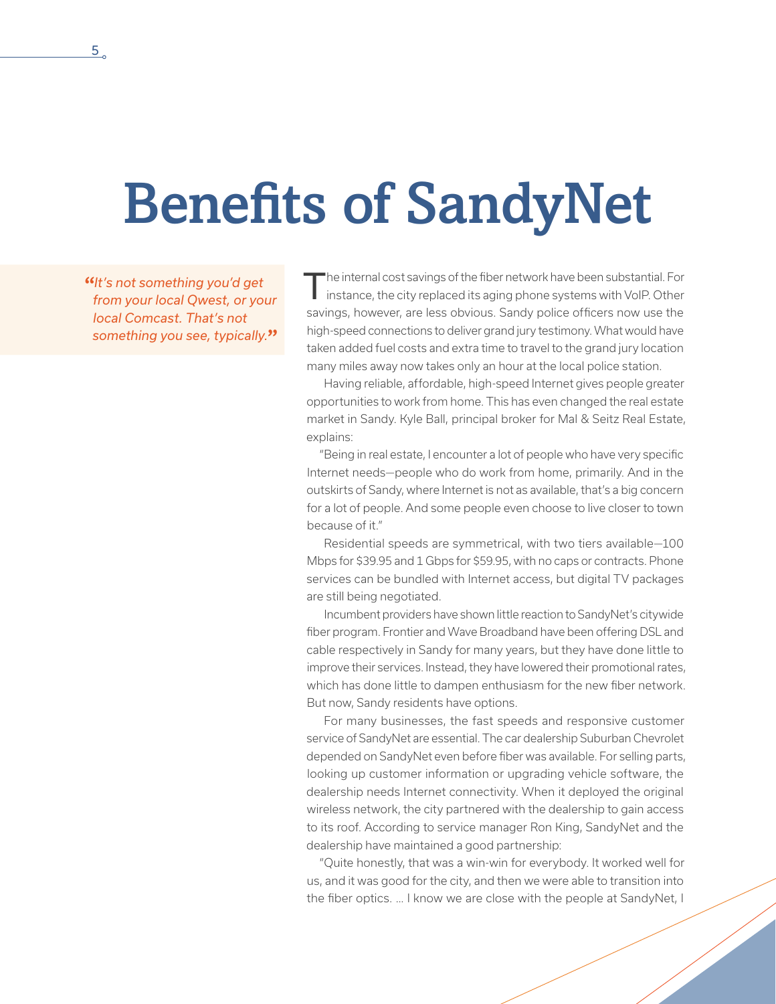## Benefits of SandyNet

**"***It's not something you'd get from your local Qwest, or your local Comcast. That's not something you see, typically.***"**

The internal cost savings of the fiber network have been substantial. For<br>instance, the city replaced its aging phone systems with VoIP. Other savings, however, are less obvious. Sandy police officers now use the high-speed connections to deliver grand jury testimony. What would have taken added fuel costs and extra time to travel to the grand jury location many miles away now takes only an hour at the local police station.

Having reliable, affordable, high-speed Internet gives people greater opportunities to work from home. This has even changed the real estate market in Sandy. Kyle Ball, principal broker for Mal & Seitz Real Estate, explains:

"Being in real estate, I encounter a lot of people who have very specific Internet needs—people who do work from home, primarily. And in the outskirts of Sandy, where Internet is not as available, that's a big concern for a lot of people. And some people even choose to live closer to town because of it."

Residential speeds are symmetrical, with two tiers available—100 Mbps for \$39.95 and 1 Gbps for \$59.95, with no caps or contracts. Phone services can be bundled with Internet access, but digital TV packages are still being negotiated.

Incumbent providers have shown little reaction to SandyNet's citywide fiber program. Frontier and Wave Broadband have been offering DSL and cable respectively in Sandy for many years, but they have done little to improve their services. Instead, they have lowered their promotional rates, which has done little to dampen enthusiasm for the new fiber network. But now, Sandy residents have options.

For many businesses, the fast speeds and responsive customer service of SandyNet are essential. The car dealership Suburban Chevrolet depended on SandyNet even before fiber was available. For selling parts, looking up customer information or upgrading vehicle software, the dealership needs Internet connectivity. When it deployed the original wireless network, the city partnered with the dealership to gain access to its roof. According to service manager Ron King, SandyNet and the dealership have maintained a good partnership:

"Quite honestly, that was a win-win for everybody. It worked well for us, and it was good for the city, and then we were able to transition into the fiber optics. … I know we are close with the people at SandyNet, I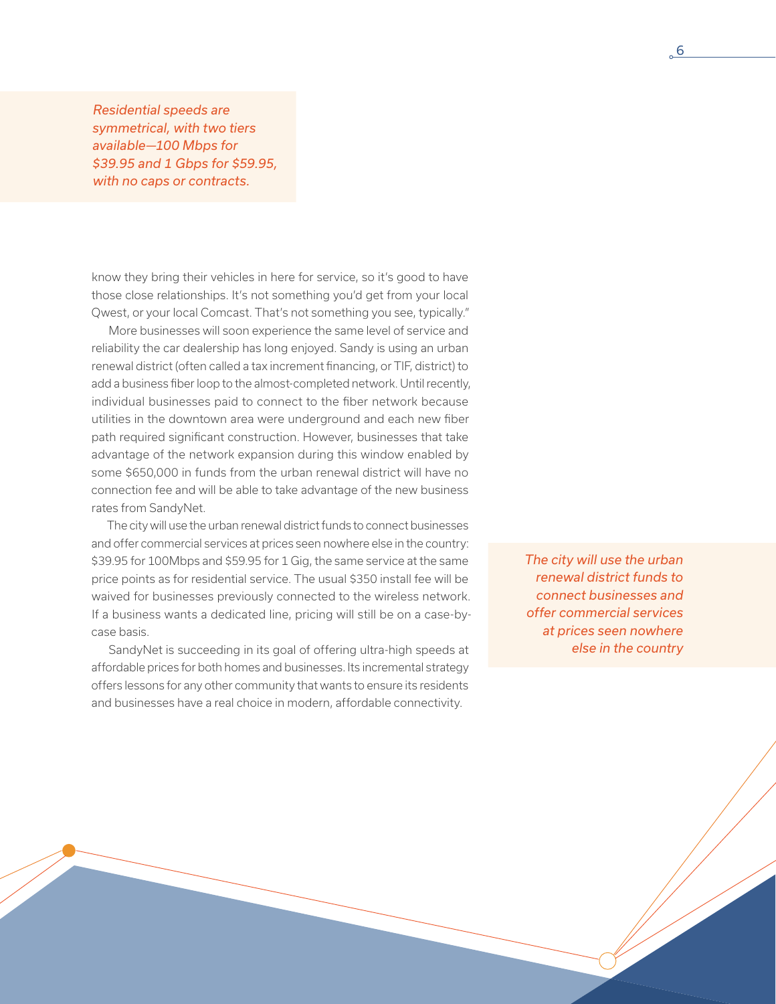*Residential speeds are symmetrical, with two tiers available—100 Mbps for \$39.95 and 1 Gbps for \$59.95, with no caps or contracts.*

know they bring their vehicles in here for service, so it's good to have those close relationships. It's not something you'd get from your local Qwest, or your local Comcast. That's not something you see, typically."

More businesses will soon experience the same level of service and reliability the car dealership has long enjoyed. Sandy is using an urban renewal district (often called a tax increment financing, or TIF, district) to add a business fiber loop to the almost-completed network. Until recently, individual businesses paid to connect to the fiber network because utilities in the downtown area were underground and each new fiber path required significant construction. However, businesses that take advantage of the network expansion during this window enabled by some \$650,000 in funds from the urban renewal district will have no connection fee and will be able to take advantage of the new business rates from SandyNet.

The city will use the urban renewal district funds to connect businesses and offer commercial services at prices seen nowhere else in the country: \$39.95 for 100Mbps and \$59.95 for 1 Gig, the same service at the same price points as for residential service. The usual \$350 install fee will be waived for businesses previously connected to the wireless network. If a business wants a dedicated line, pricing will still be on a case-bycase basis.

SandyNet is succeeding in its goal of offering ultra-high speeds at affordable prices for both homes and businesses. Its incremental strategy offers lessons for any other community that wants to ensure its residents and businesses have a real choice in modern, affordable connectivity.

*The city will use the urban renewal district funds to connect businesses and offer commercial services at prices seen nowhere else in the country*